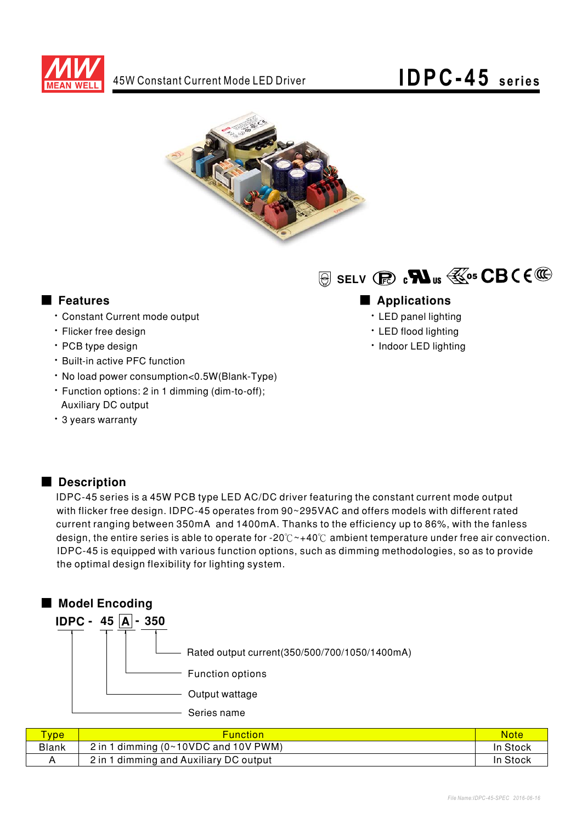



#### **E** Features

- · Constant Current mode output
- · Flicker free design
- · PCB type design
- · Built-in active PFC function
- . No load power consumption<0.5W(Blank-Type)
- Function options: 2 in 1 dimming (dim-to-off); **Auxiliary DC output**
- \* 3 years warranty

# $\circledR$  SELV  $\circledR$   $\circledR$   $\circledR$   $\circledR$   $\circledR$   $\circledR$   $\circledR$

### Applications

- · LED panel lighting
- · LED flood lighting
- · Indoor LED lighting

#### Description

IDPC-45 series is a 45W PCB type LED AC/DC driver featuring the constant current mode output with flicker free design. IDPC-45 operates from 90~295VAC and offers models with different rated current ranging between 350mA and 1400mA. Thanks to the efficiency up to 86%, with the fanless design, the entire series is able to operate for -20 $\degree$  -40 $\degree$  ambient temperature under free air convection. IDPC-45 is equipped with various function options, such as dimming methodologies, so as to provide the optimal design flexibility for lighting system.



| <b>vpe</b> | <b>Function</b>                                                   | <b>Note</b> |
|------------|-------------------------------------------------------------------|-------------|
| Blank      | 2 in 1 dimming $(0 \times 10 \text{ VDC}$ and $10 \text{ V}$ PWM) | In Stock    |
|            | 2 in 1 dimming and Auxiliary DC output                            | In Stock    |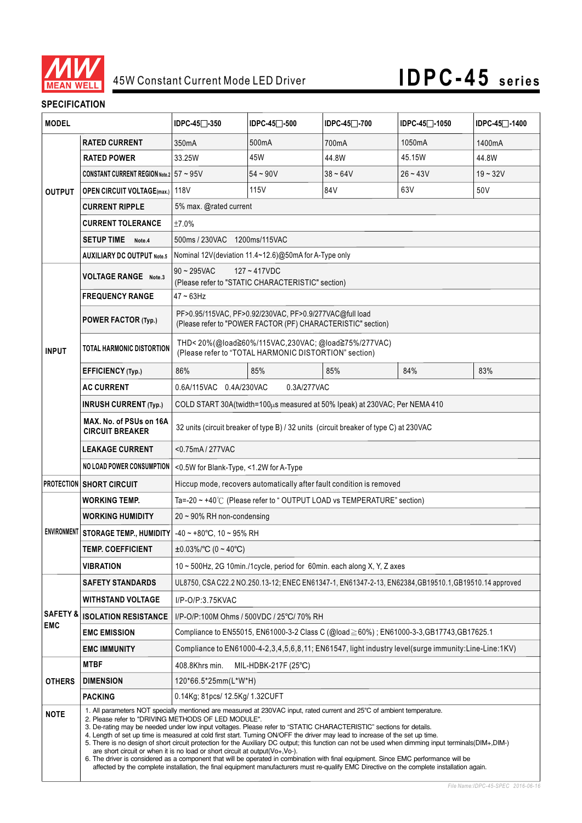

## 45W Constant Current Mode LED Driver **IDPC-45 series**

#### **SPECIFICATION**

| <b>MODEL</b>                      |                                                                                                                                                                                                                                                                                                                                                                                                                                                                                                                                                                                                                                                                                                                                                                                                                                                                                                                                                                         | IDPC-45 <sup>−</sup> -350                                                                                               | $IDPC-45$ $-500$ | IDPC-45 <sup>−</sup> -700 | IDPC-45 <sup>−</sup> -1050 | IDPC-45 <sup>-1400</sup> |  |  |
|-----------------------------------|-------------------------------------------------------------------------------------------------------------------------------------------------------------------------------------------------------------------------------------------------------------------------------------------------------------------------------------------------------------------------------------------------------------------------------------------------------------------------------------------------------------------------------------------------------------------------------------------------------------------------------------------------------------------------------------------------------------------------------------------------------------------------------------------------------------------------------------------------------------------------------------------------------------------------------------------------------------------------|-------------------------------------------------------------------------------------------------------------------------|------------------|---------------------------|----------------------------|--------------------------|--|--|
| <b>OUTPUT</b>                     | <b>RATED CURRENT</b>                                                                                                                                                                                                                                                                                                                                                                                                                                                                                                                                                                                                                                                                                                                                                                                                                                                                                                                                                    | 350 <sub>m</sub> A                                                                                                      | 500mA            | 700mA                     | 1050mA                     | 1400mA                   |  |  |
|                                   | <b>RATED POWER</b>                                                                                                                                                                                                                                                                                                                                                                                                                                                                                                                                                                                                                                                                                                                                                                                                                                                                                                                                                      | 33.25W                                                                                                                  | 45W              | 44.8W                     | 45.15W                     | 44.8W                    |  |  |
|                                   | CONSTANT CURRENT REGION Note.2 $57 \sim 95$ V                                                                                                                                                                                                                                                                                                                                                                                                                                                                                                                                                                                                                                                                                                                                                                                                                                                                                                                           |                                                                                                                         | $54 - 90V$       | $38 - 64V$                | $26 - 43V$                 | $19 - 32V$               |  |  |
|                                   | <b>OPEN CIRCUIT VOLTAGE(max.)</b> 118V                                                                                                                                                                                                                                                                                                                                                                                                                                                                                                                                                                                                                                                                                                                                                                                                                                                                                                                                  |                                                                                                                         | 115V             | 84V                       | 63V                        | 50 <sub>V</sub>          |  |  |
|                                   | <b>CURRENT RIPPLE</b>                                                                                                                                                                                                                                                                                                                                                                                                                                                                                                                                                                                                                                                                                                                                                                                                                                                                                                                                                   | 5% max. @rated current                                                                                                  |                  |                           |                            |                          |  |  |
|                                   | <b>CURRENT TOLERANCE</b>                                                                                                                                                                                                                                                                                                                                                                                                                                                                                                                                                                                                                                                                                                                                                                                                                                                                                                                                                | ±7.0%                                                                                                                   |                  |                           |                            |                          |  |  |
|                                   | <b>SETUP TIME</b><br>Note.4                                                                                                                                                                                                                                                                                                                                                                                                                                                                                                                                                                                                                                                                                                                                                                                                                                                                                                                                             | 500ms / 230VAC 1200ms/115VAC                                                                                            |                  |                           |                            |                          |  |  |
|                                   | <b>AUXILIARY DC OUTPUT Note.5</b>                                                                                                                                                                                                                                                                                                                                                                                                                                                                                                                                                                                                                                                                                                                                                                                                                                                                                                                                       | Nominal 12V (deviation 11.4~12.6) @50mA for A-Type only                                                                 |                  |                           |                            |                          |  |  |
|                                   | <b>VOLTAGE RANGE</b> Note.3                                                                                                                                                                                                                                                                                                                                                                                                                                                                                                                                                                                                                                                                                                                                                                                                                                                                                                                                             | $90 - 295$ VAC<br>$127 - 417$ VDC                                                                                       |                  |                           |                            |                          |  |  |
| <b>INPUT</b>                      |                                                                                                                                                                                                                                                                                                                                                                                                                                                                                                                                                                                                                                                                                                                                                                                                                                                                                                                                                                         | (Please refer to "STATIC CHARACTERISTIC" section)                                                                       |                  |                           |                            |                          |  |  |
|                                   | <b>FREQUENCY RANGE</b>                                                                                                                                                                                                                                                                                                                                                                                                                                                                                                                                                                                                                                                                                                                                                                                                                                                                                                                                                  | $47 - 63$ Hz                                                                                                            |                  |                           |                            |                          |  |  |
|                                   | POWER FACTOR (Typ.)                                                                                                                                                                                                                                                                                                                                                                                                                                                                                                                                                                                                                                                                                                                                                                                                                                                                                                                                                     | PF>0.95/115VAC, PF>0.92/230VAC, PF>0.9/277VAC@full load<br>(Please refer to "POWER FACTOR (PF) CHARACTERISTIC" section) |                  |                           |                            |                          |  |  |
|                                   | TOTAL HARMONIC DISTORTION                                                                                                                                                                                                                                                                                                                                                                                                                                                                                                                                                                                                                                                                                                                                                                                                                                                                                                                                               | THD<20%(@load≧60%/115VAC,230VAC;@load≧75%/277VAC)<br>(Please refer to "TOTAL HARMONIC DISTORTION" section)              |                  |                           |                            |                          |  |  |
|                                   | EFFICIENCY (Typ.)                                                                                                                                                                                                                                                                                                                                                                                                                                                                                                                                                                                                                                                                                                                                                                                                                                                                                                                                                       | 86%                                                                                                                     | 85%              | 85%                       | 84%                        | 83%                      |  |  |
|                                   | <b>AC CURRENT</b>                                                                                                                                                                                                                                                                                                                                                                                                                                                                                                                                                                                                                                                                                                                                                                                                                                                                                                                                                       | 0.6A/115VAC 0.4A/230VAC<br>0.3A/277VAC                                                                                  |                  |                           |                            |                          |  |  |
|                                   | <b>INRUSH CURRENT (Typ.)</b>                                                                                                                                                                                                                                                                                                                                                                                                                                                                                                                                                                                                                                                                                                                                                                                                                                                                                                                                            | COLD START 30A(twidth=100µs measured at 50% Ipeak) at 230VAC; Per NEMA 410                                              |                  |                           |                            |                          |  |  |
|                                   | MAX. No. of PSUs on 16A<br><b>CIRCUIT BREAKER</b>                                                                                                                                                                                                                                                                                                                                                                                                                                                                                                                                                                                                                                                                                                                                                                                                                                                                                                                       | 32 units (circuit breaker of type B) / 32 units (circuit breaker of type C) at 230VAC                                   |                  |                           |                            |                          |  |  |
|                                   |                                                                                                                                                                                                                                                                                                                                                                                                                                                                                                                                                                                                                                                                                                                                                                                                                                                                                                                                                                         |                                                                                                                         |                  |                           |                            |                          |  |  |
|                                   | <b>NO LOAD POWER CONSUMPTION</b>                                                                                                                                                                                                                                                                                                                                                                                                                                                                                                                                                                                                                                                                                                                                                                                                                                                                                                                                        | <0.5W for Blank-Type, <1.2W for A-Type                                                                                  |                  |                           |                            |                          |  |  |
|                                   | <b>PROTECTION SHORT CIRCUIT</b>                                                                                                                                                                                                                                                                                                                                                                                                                                                                                                                                                                                                                                                                                                                                                                                                                                                                                                                                         | Hiccup mode, recovers automatically after fault condition is removed                                                    |                  |                           |                            |                          |  |  |
|                                   | <b>WORKING TEMP.</b>                                                                                                                                                                                                                                                                                                                                                                                                                                                                                                                                                                                                                                                                                                                                                                                                                                                                                                                                                    | Ta=-20 $\sim$ +40 $\degree$ C (Please refer to "OUTPUT LOAD vs TEMPERATURE" section)                                    |                  |                           |                            |                          |  |  |
|                                   | WORKING HUMIDITY                                                                                                                                                                                                                                                                                                                                                                                                                                                                                                                                                                                                                                                                                                                                                                                                                                                                                                                                                        | $20 \sim 90\%$ RH non-condensing                                                                                        |                  |                           |                            |                          |  |  |
|                                   | ENVIRONMENT   STORAGE TEMP., HUMIDITY                                                                                                                                                                                                                                                                                                                                                                                                                                                                                                                                                                                                                                                                                                                                                                                                                                                                                                                                   | $-40 \sim +80^{\circ}$ C, 10 ~ 95% RH                                                                                   |                  |                           |                            |                          |  |  |
|                                   | TEMP. COEFFICIENT                                                                                                                                                                                                                                                                                                                                                                                                                                                                                                                                                                                                                                                                                                                                                                                                                                                                                                                                                       | $\pm 0.03\%$ /°C (0 ~ 40°C)                                                                                             |                  |                           |                            |                          |  |  |
|                                   | <b>VIBRATION</b>                                                                                                                                                                                                                                                                                                                                                                                                                                                                                                                                                                                                                                                                                                                                                                                                                                                                                                                                                        | 10 ~ 500Hz, 2G 10min./1cycle, period for 60min. each along X, Y, Z axes                                                 |                  |                           |                            |                          |  |  |
|                                   | <b>SAFETY STANDARDS</b>                                                                                                                                                                                                                                                                                                                                                                                                                                                                                                                                                                                                                                                                                                                                                                                                                                                                                                                                                 | UL8750, CSA C22.2 NO.250.13-12; ENEC EN61347-1, EN61347-2-13, EN62384, GB19510.1, GB19510.14 approved                   |                  |                           |                            |                          |  |  |
| <b>SAFETY &amp;</b><br><b>EMC</b> | <b>WITHSTAND VOLTAGE</b>                                                                                                                                                                                                                                                                                                                                                                                                                                                                                                                                                                                                                                                                                                                                                                                                                                                                                                                                                | I/P-O/P:3.75KVAC                                                                                                        |                  |                           |                            |                          |  |  |
|                                   | <b>ISOLATION RESISTANCE</b>                                                                                                                                                                                                                                                                                                                                                                                                                                                                                                                                                                                                                                                                                                                                                                                                                                                                                                                                             | I/P-O/P:100M Ohms / 500VDC / 25°C/ 70% RH                                                                               |                  |                           |                            |                          |  |  |
|                                   | <b>EMC EMISSION</b>                                                                                                                                                                                                                                                                                                                                                                                                                                                                                                                                                                                                                                                                                                                                                                                                                                                                                                                                                     | Compliance to EN55015, EN61000-3-2 Class C (@load≧60%); EN61000-3-3, GB17743, GB17625.1                                 |                  |                           |                            |                          |  |  |
|                                   | <b>EMC IMMUNITY</b>                                                                                                                                                                                                                                                                                                                                                                                                                                                                                                                                                                                                                                                                                                                                                                                                                                                                                                                                                     | Compliance to EN61000-4-2,3,4,5,6,8,11; EN61547, light industry level(surge immunity:Line-Line:1KV)                     |                  |                           |                            |                          |  |  |
|                                   | <b>MTBF</b>                                                                                                                                                                                                                                                                                                                                                                                                                                                                                                                                                                                                                                                                                                                                                                                                                                                                                                                                                             | 408.8Khrs min.<br>MIL-HDBK-217F (25°C)                                                                                  |                  |                           |                            |                          |  |  |
| <b>OTHERS</b>                     | <b>DIMENSION</b>                                                                                                                                                                                                                                                                                                                                                                                                                                                                                                                                                                                                                                                                                                                                                                                                                                                                                                                                                        | 120*66.5*25mm(L*W*H)                                                                                                    |                  |                           |                            |                          |  |  |
|                                   | <b>PACKING</b>                                                                                                                                                                                                                                                                                                                                                                                                                                                                                                                                                                                                                                                                                                                                                                                                                                                                                                                                                          | 0.14Kg; 81pcs/ 12.5Kg/ 1.32CUFT                                                                                         |                  |                           |                            |                          |  |  |
| <b>NOTE</b>                       | 1. All parameters NOT specially mentioned are measured at 230VAC input, rated current and 25°C of ambient temperature.<br>2. Please refer to "DRIVING METHODS OF LED MODULE".<br>3. De-rating may be needed under low input voltages. Please refer to "STATIC CHARACTERISTIC" sections for details.<br>4. Length of set up time is measured at cold first start. Turning ON/OFF the driver may lead to increase of the set up time.<br>5. There is no design of short circuit protection for the Auxiliary DC output; this function can not be used when dimming input terminals (DIM+, DIM-)<br>are short circuit or when it is no load or short circuit at output $(Vo+, Vo-)$ .<br>6. The driver is considered as a component that will be operated in combination with final equipment. Since EMC performance will be<br>affected by the complete installation, the final equipment manufacturers must re-qualify EMC Directive on the complete installation again. |                                                                                                                         |                  |                           |                            |                          |  |  |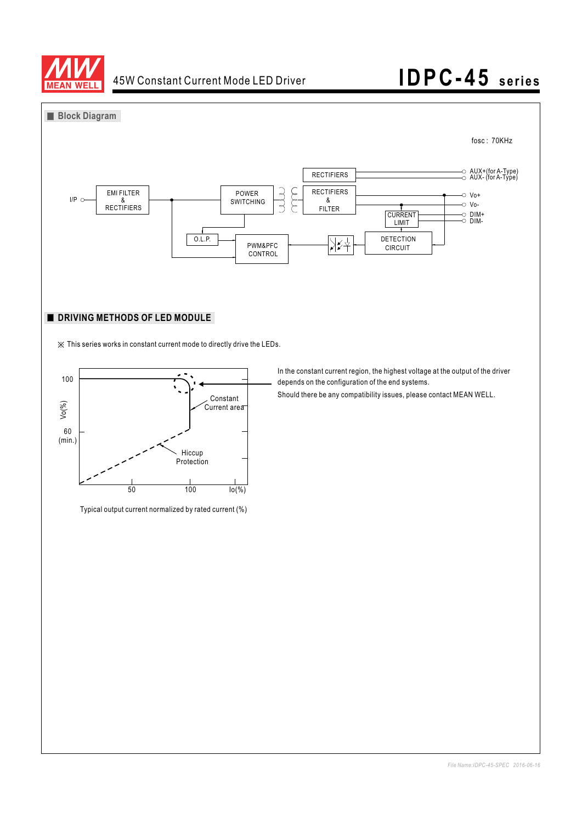

 $60$ <br>(min.)

### 45W Constant Current Mode LED Driver **IDPC-45 series**



Typical output current normalized by rated current (%)

 $\frac{1}{100}$   $\frac{1}{100}$   $\frac{1}{10(%)}$ 

Hiccup Protection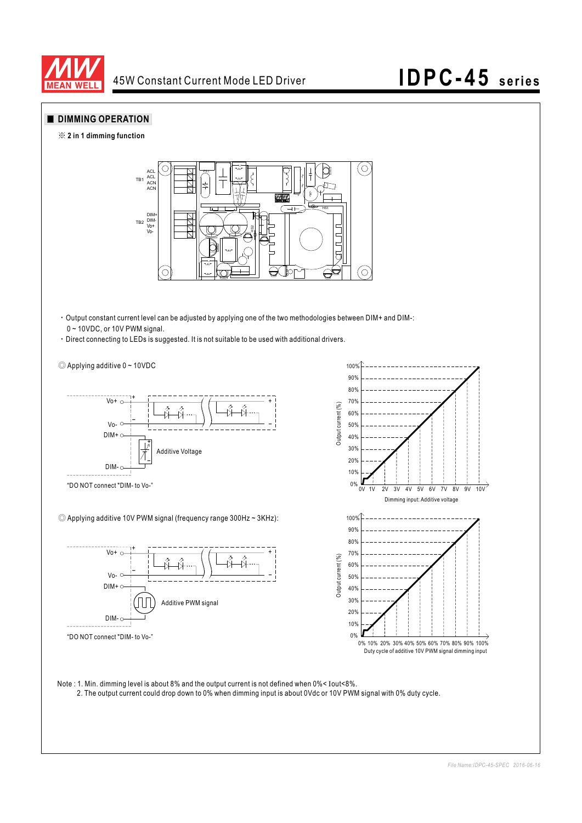

### 45W Constant Current Mode LED Driver **IDPC-45 series**

#### **DIMMING OPERATION**





- Output constant current level can be adjusted by applying one of the two methodologies between DIM+ and DIM-: 0 ~ 10VDC, or 10V PWM signal.
- Direct connecting to LEDs is suggested. It is not suitable to be used with additional drivers.



Note : 1. Min. dimming level is about 8% and the output current is not defined when  $0\%$ < Iout<8%. 2. The output current could drop down to 0% when dimming input is about 0Vdc or 10V PWM signal with 0% duty cycle.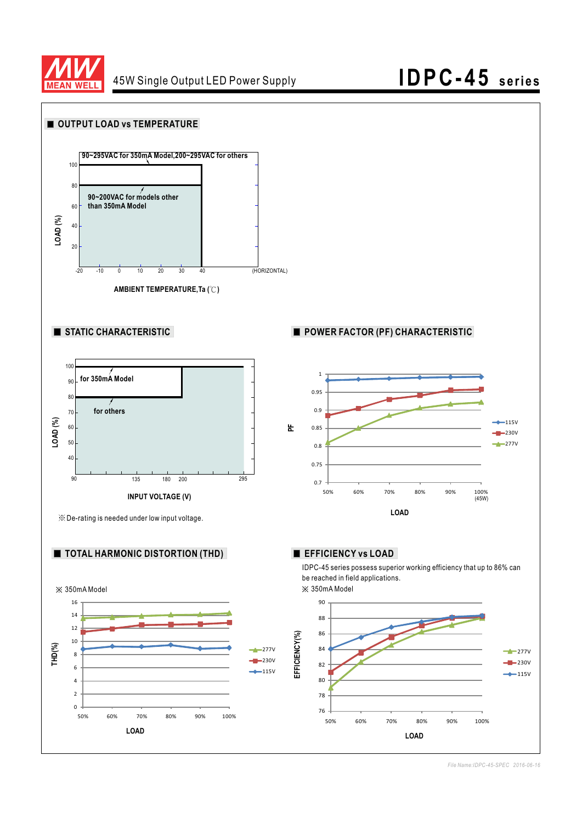